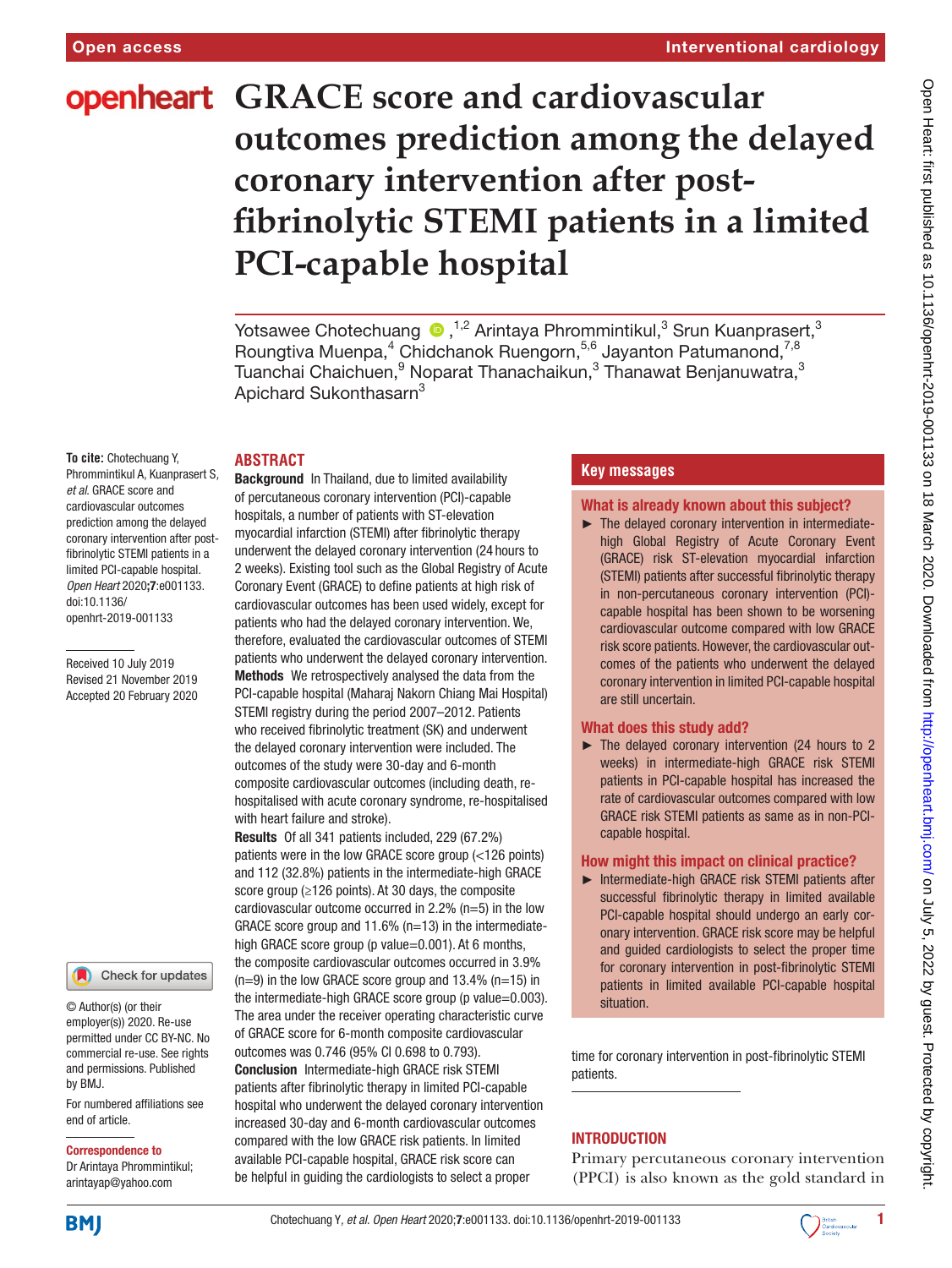# **openheart** GRACE score and cardiovascular **outcomes prediction among the delayed coronary intervention after postfibrinolytic STEMI patients in a limited PCI-capable hospital**

YotsaweeChotechuang  $\bullet$  ,<sup>1,2</sup> Arintaya Phrommintikul,<sup>3</sup> Srun Kuanprasert,<sup>3</sup> Roungtiva Muenpa,<sup>4</sup> Chidchanok Ruengorn,<sup>5,6</sup> Jayanton Patumanond,<sup>7,8</sup> Tuanchai Chaichuen, $^9$  Noparat Thanachaikun, $^3$  Thanawat Benjanuwatra, $^3$ Apichard Sukonthasarn<sup>3</sup>

## **Abstract**

**To cite:** Chotechuang Y, Phrommintikul A, Kuanprasert S*, et al*. GRACE score and cardiovascular outcomes prediction among the delayed coronary intervention after postfibrinolytic STEMI patients in a limited PCI-capable hospital*. Open Heart* 2020;7:e001133. doi:10.1136/ openhrt-2019-001133

Received 10 July 2019 Revised 21 November 2019 Accepted 20 February 2020

#### Check for updates

© Author(s) (or their employer(s)) 2020. Re-use permitted under CC BY-NC. No commercial re-use. See rights and permissions. Published by BMJ.

For numbered affiliations see end of article.

#### Correspondence to

Dr Arintaya Phrommintikul; arintayap@yahoo.com

Background In Thailand, due to limited availability of percutaneous coronary intervention (PCI)-capable hospitals, a number of patients with ST-elevation myocardial infarction (STEMI) after fibrinolytic therapy underwent the delayed coronary intervention (24 hours to 2 weeks). Existing tool such as the Global Registry of Acute Coronary Event (GRACE) to define patients at high risk of cardiovascular outcomes has been used widely, except for patients who had the delayed coronary intervention. We, therefore, evaluated the cardiovascular outcomes of STEMI patients who underwent the delayed coronary intervention. Methods We retrospectively analysed the data from the PCI-capable hospital (Maharaj Nakorn Chiang Mai Hospital) STEMI registry during the period 2007–2012. Patients who received fibrinolytic treatment (SK) and underwent the delayed coronary intervention were included. The outcomes of the study were 30-day and 6-month composite cardiovascular outcomes (including death, rehospitalised with acute coronary syndrome, re-hospitalised with heart failure and stroke).

Results Of all 341 patients included, 229 (67.2%) patients were in the low GRACE score group (<126 points) and 112 (32.8%) patients in the intermediate-high GRACE score group (≥126 points). At 30 days, the composite cardiovascular outcome occurred in 2.2% (n=5) in the low GRACE score group and  $11.6\%$  (n=13) in the intermediatehigh GRACE score group (p value=0.001). At 6 months, the composite cardiovascular outcomes occurred in 3.9%  $(n=9)$  in the low GRACE score group and 13.4%  $(n=15)$  in the intermediate-high GRACE score group (p value=0.003). The area under the receiver operating characteristic curve of GRACE score for 6-month composite cardiovascular outcomes was 0.746 (95% CI 0.698 to 0.793). Conclusion Intermediate-high GRACE risk STEMI patients after fibrinolytic therapy in limited PCI-capable hospital who underwent the delayed coronary intervention increased 30-day and 6-month cardiovascular outcomes compared with the low GRACE risk patients. In limited available PCI-capable hospital, GRACE risk score can be helpful in guiding the cardiologists to select a proper

## **Key messages**

#### What is already known about this subject?

The delayed coronary intervention in intermediatehigh Global Registry of Acute Coronary Event (GRACE) risk ST-elevation myocardial infarction (STEMI) patients after successful fibrinolytic therapy in non-percutaneous coronary intervention (PCI) capable hospital has been shown to be worsening cardiovascular outcome compared with low GRACE risk score patients. However, the cardiovascular outcomes of the patients who underwent the delayed coronary intervention in limited PCI-capable hospital are still uncertain.

#### What does this study add?

► The delayed coronary intervention (24 hours to 2 weeks) in intermediate-high GRACE risk STEMI patients in PCI-capable hospital has increased the rate of cardiovascular outcomes compared with low GRACE risk STEMI patients as same as in non-PCIcapable hospital.

#### How might this impact on clinical practice?

► Intermediate-high GRACE risk STEMI patients after successful fibrinolytic therapy in limited available PCI-capable hospital should undergo an early coronary intervention. GRACE risk score may be helpful and guided cardiologists to select the proper time for coronary intervention in post-fibrinolytic STEMI patients in limited available PCI-capable hospital situation.

time for coronary intervention in post-fibrinolytic STEMI patients.

# **INTRODUCTION**

Primary percutaneous coronary intervention (PPCI) is also known as the gold standard in

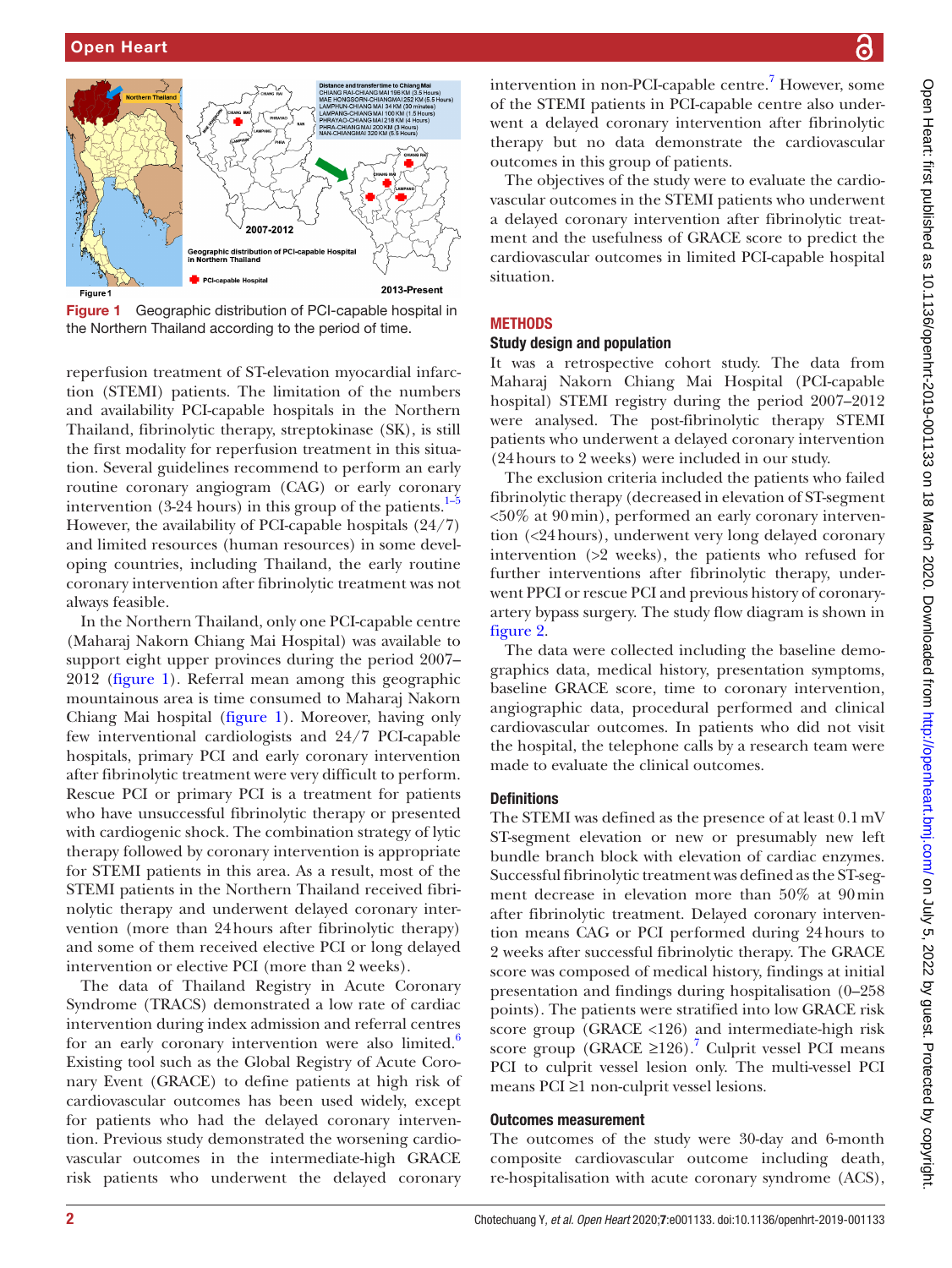

<span id="page-1-0"></span>Figure 1 Geographic distribution of PCI-capable hospital in the Northern Thailand according to the period of time.

reperfusion treatment of ST-elevation myocardial infarction (STEMI) patients. The limitation of the numbers and availability PCI-capable hospitals in the Northern Thailand, fibrinolytic therapy, streptokinase (SK), is still the first modality for reperfusion treatment in this situation. Several guidelines recommend to perform an early routine coronary angiogram (CAG) or early coronary intervention (3-24 hours) in this group of the patients. $1-5$ However, the availability of PCI-capable hospitals (24/7) and limited resources (human resources) in some developing countries, including Thailand, the early routine coronary intervention after fibrinolytic treatment was not always feasible.

In the Northern Thailand, only one PCI-capable centre (Maharaj Nakorn Chiang Mai Hospital) was available to support eight upper provinces during the period 2007– 2012 ([figure](#page-1-0) 1). Referral mean among this geographic mountainous area is time consumed to Maharaj Nakorn Chiang Mai hospital [\(figure](#page-1-0) 1). Moreover, having only few interventional cardiologists and 24/7 PCI-capable hospitals, primary PCI and early coronary intervention after fibrinolytic treatment were very difficult to perform. Rescue PCI or primary PCI is a treatment for patients who have unsuccessful fibrinolytic therapy or presented with cardiogenic shock. The combination strategy of lytic therapy followed by coronary intervention is appropriate for STEMI patients in this area. As a result, most of the STEMI patients in the Northern Thailand received fibrinolytic therapy and underwent delayed coronary intervention (more than 24hours after fibrinolytic therapy) and some of them received elective PCI or long delayed intervention or elective PCI (more than 2 weeks).

The data of Thailand Registry in Acute Coronary Syndrome (TRACS) demonstrated a low rate of cardiac intervention during index admission and referral centres for an early coronary intervention were also limited.<sup>[6](#page-5-1)</sup> Existing tool such as the Global Registry of Acute Coronary Event (GRACE) to define patients at high risk of cardiovascular outcomes has been used widely, except for patients who had the delayed coronary intervention. Previous study demonstrated the worsening cardiovascular outcomes in the intermediate-high GRACE risk patients who underwent the delayed coronary

intervention in non-PCI-capable centre.<sup>7</sup> However, some of the STEMI patients in PCI-capable centre also underwent a delayed coronary intervention after fibrinolytic therapy but no data demonstrate the cardiovascular outcomes in this group of patients.

The objectives of the study were to evaluate the cardiovascular outcomes in the STEMI patients who underwent a delayed coronary intervention after fibrinolytic treatment and the usefulness of GRACE score to predict the cardiovascular outcomes in limited PCI-capable hospital situation.

## **METHODS**

#### Study design and population

It was a retrospective cohort study. The data from Maharaj Nakorn Chiang Mai Hospital (PCI-capable hospital) STEMI registry during the period 2007–2012 were analysed. The post-fibrinolytic therapy STEMI patients who underwent a delayed coronary intervention (24hours to 2 weeks) were included in our study.

The exclusion criteria included the patients who failed fibrinolytic therapy (decreased in elevation of ST-segment <50% at 90min), performed an early coronary intervention (<24hours), underwent very long delayed coronary intervention (>2 weeks), the patients who refused for further interventions after fibrinolytic therapy, underwent PPCI or rescue PCI and previous history of coronaryartery bypass surgery. The study flow diagram is shown in [figure](#page-2-0) 2.

The data were collected including the baseline demographics data, medical history, presentation symptoms, baseline GRACE score, time to coronary intervention, angiographic data, procedural performed and clinical cardiovascular outcomes. In patients who did not visit the hospital, the telephone calls by a research team were made to evaluate the clinical outcomes.

## **Definitions**

The STEMI was defined as the presence of at least 0.1mV ST-segment elevation or new or presumably new left bundle branch block with elevation of cardiac enzymes. Successful fibrinolytic treatment was defined as the ST-segment decrease in elevation more than 50% at 90min after fibrinolytic treatment. Delayed coronary intervention means CAG or PCI performed during 24hours to 2 weeks after successful fibrinolytic therapy. The GRACE score was composed of medical history, findings at initial presentation and findings during hospitalisation (0–258 points). The patients were stratified into low GRACE risk score group (GRACE <126) and intermediate-high risk score group (GRACE ≥126).<sup>7</sup> Culprit vessel PCI means PCI to culprit vessel lesion only. The multi-vessel PCI means PCI ≥1 non-culprit vessel lesions.

#### Outcomes measurement

The outcomes of the study were 30-day and 6-month composite cardiovascular outcome including death, re-hospitalisation with acute coronary syndrome (ACS),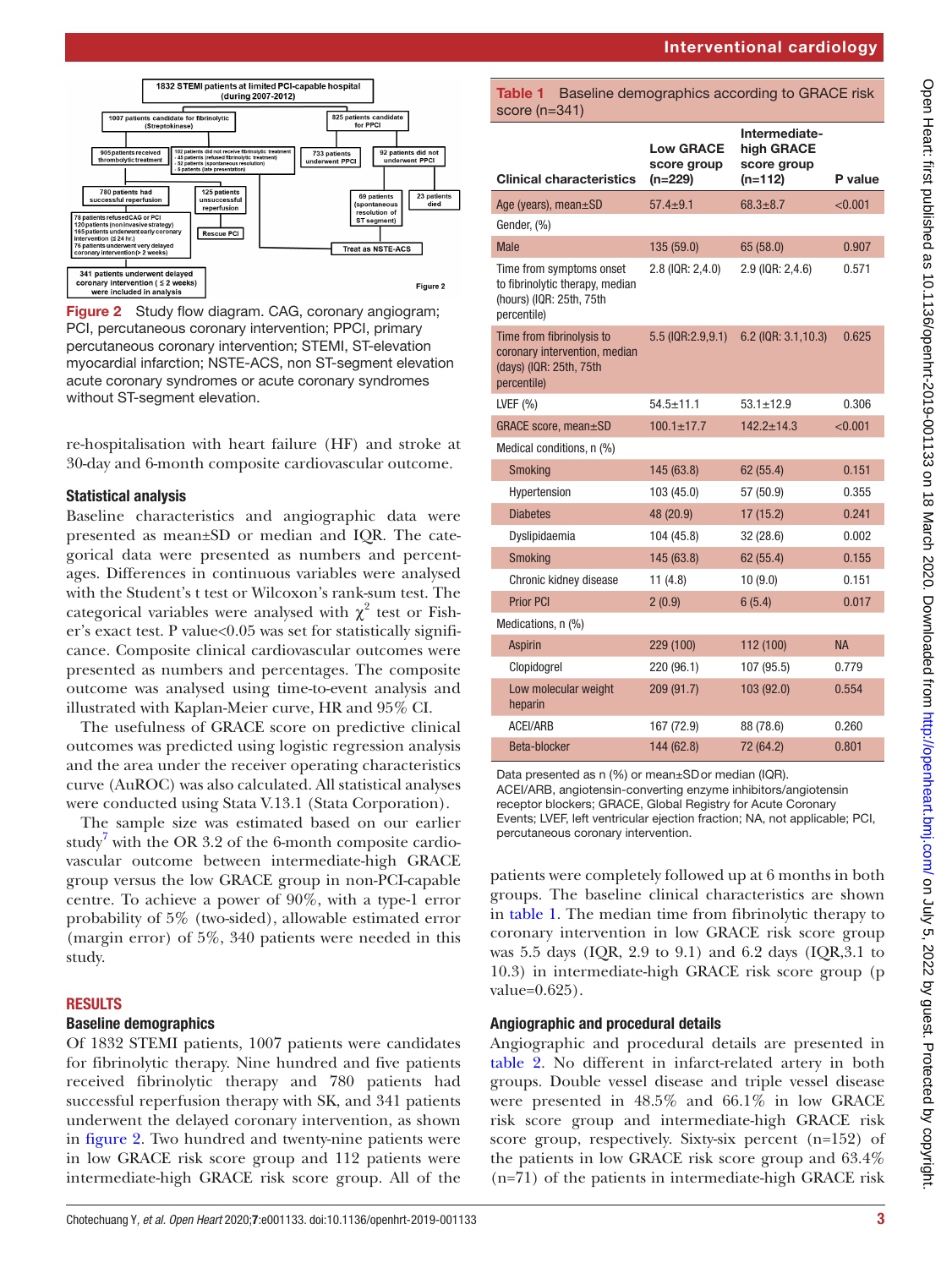



<span id="page-2-0"></span>Figure 2 Study flow diagram. CAG, coronary angiogram; PCI, percutaneous coronary intervention; PPCI, primary percutaneous coronary intervention; STEMI, ST-elevation myocardial infarction; NSTE-ACS, non ST-segment elevation acute coronary syndromes or acute coronary syndromes without ST-seament elevation.

re-hospitalisation with heart failure (HF) and stroke at 30-day and 6-month composite cardiovascular outcome.

## Statistical analysis

Baseline characteristics and angiographic data were presented as mean±SD or median and IQR. The categorical data were presented as numbers and percentages. Differences in continuous variables were analysed with the Student's t test or Wilcoxon's rank-sum test. The categorical variables were analysed with  $\chi^2$  test or Fisher's exact test. P value<0.05 was set for statistically significance. Composite clinical cardiovascular outcomes were presented as numbers and percentages. The composite outcome was analysed using time-to-event analysis and illustrated with Kaplan-Meier curve, HR and 95% CI.

The usefulness of GRACE score on predictive clinical outcomes was predicted using logistic regression analysis and the area under the receiver operating characteristics curve (AuROC) was also calculated. All statistical analyses were conducted using Stata V.13.1 (Stata Corporation).

The sample size was estimated based on our earlier study<sup>[7](#page-5-2)</sup> with the OR 3.2 of the 6-month composite cardiovascular outcome between intermediate-high GRACE group versus the low GRACE group in non-PCI-capable centre. To achieve a power of 90%, with a type-1 error probability of 5% (two-sided), allowable estimated error (margin error) of 5%, 340 patients were needed in this study.

### **RESULTS**

## Baseline demographics

Of 1832 STEMI patients, 1007 patients were candidates for fibrinolytic therapy. Nine hundred and five patients received fibrinolytic therapy and 780 patients had successful reperfusion therapy with SK, and 341 patients underwent the delayed coronary intervention, as shown in [figure](#page-2-0) 2. Two hundred and twenty-nine patients were in low GRACE risk score group and 112 patients were intermediate-high GRACE risk score group. All of the

### <span id="page-2-1"></span>Table 1 Baseline demographics according to GRACE risk score (n=341)

| <b>Clinical characteristics</b>                                                                        | <b>Low GRACE</b><br>score group<br>$(n=229)$ | Intermediate-<br>high GRACE<br>score group<br>$(n=112)$ | P value   |
|--------------------------------------------------------------------------------------------------------|----------------------------------------------|---------------------------------------------------------|-----------|
| Age (years), mean $\pm$ SD                                                                             | $57.4 \pm 9.1$                               | $68.3 \pm 8.7$                                          | < 0.001   |
| Gender, (%)                                                                                            |                                              |                                                         |           |
| <b>Male</b>                                                                                            | 135 (59.0)                                   | 65 (58.0)                                               | 0.907     |
| Time from symptoms onset<br>to fibrinolytic therapy, median<br>(hours) (IQR: 25th, 75th<br>percentile) | 2.8 (IQR: 2,4.0)                             | 2.9 (IQR: 2,4.6)                                        | 0.571     |
| Time from fibrinolysis to<br>coronary intervention, median<br>(days) (IQR: 25th, 75th<br>percentile)   | $5.5$ (IQR:2.9,9.1)                          | $6.2$ (IQR: $3.1,10.3$ )                                | 0.625     |
| LVEF $(% )$                                                                                            | $54.5 + 11.1$                                | $53.1 + 12.9$                                           | 0.306     |
| GRACE score, mean±SD                                                                                   | $100.1 \pm 17.7$                             | $142.2 \pm 14.3$                                        | < 0.001   |
| Medical conditions, n (%)                                                                              |                                              |                                                         |           |
| <b>Smoking</b>                                                                                         | 145 (63.8)                                   | 62 (55.4)                                               | 0.151     |
| Hypertension                                                                                           | 103 (45.0)                                   | 57 (50.9)                                               | 0.355     |
| <b>Diabetes</b>                                                                                        | 48 (20.9)                                    | 17(15.2)                                                | 0.241     |
| Dyslipidaemia                                                                                          | 104 (45.8)                                   | 32(28.6)                                                | 0.002     |
| <b>Smoking</b>                                                                                         | 145 (63.8)                                   | 62 (55.4)                                               | 0.155     |
| Chronic kidney disease                                                                                 | 11(4.8)                                      | 10(9.0)                                                 | 0.151     |
| <b>Prior PCI</b>                                                                                       | 2(0.9)                                       | 6(5.4)                                                  | 0.017     |
| Medications, n (%)                                                                                     |                                              |                                                         |           |
| <b>Aspirin</b>                                                                                         | 229 (100)                                    | 112 (100)                                               | <b>NA</b> |
| Clopidogrel                                                                                            | 220 (96.1)                                   | 107 (95.5)                                              | 0.779     |
| Low molecular weight<br>heparin                                                                        | 209 (91.7)                                   | 103 (92.0)                                              | 0.554     |
| <b>ACEI/ARB</b>                                                                                        | 167 (72.9)                                   | 88 (78.6)                                               | 0.260     |
| Beta-blocker                                                                                           | 144 (62.8)                                   | 72 (64.2)                                               | 0.801     |

Data presented as n (%) or mean±SDor median (IQR). ACEI/ARB, angiotensin-converting enzyme inhibitors/angiotensin receptor blockers; GRACE, Global Registry for Acute Coronary Events; LVEF, left ventricular ejection fraction; NA, not applicable; PCI, percutaneous coronary intervention.

patients were completely followed up at 6 months in both groups. The baseline clinical characteristics are shown in [table](#page-2-1) 1. The median time from fibrinolytic therapy to coronary intervention in low GRACE risk score group was 5.5 days (IQR, 2.9 to 9.1) and 6.2 days (IQR,3.1 to 10.3) in intermediate-high GRACE risk score group (p value=0.625).

## Angiographic and procedural details

Angiographic and procedural details are presented in [table](#page-3-0) 2. No different in infarct-related artery in both groups. Double vessel disease and triple vessel disease were presented in 48.5% and 66.1% in low GRACE risk score group and intermediate-high GRACE risk score group, respectively. Sixty-six percent (n=152) of the patients in low GRACE risk score group and 63.4% (n=71) of the patients in intermediate-high GRACE risk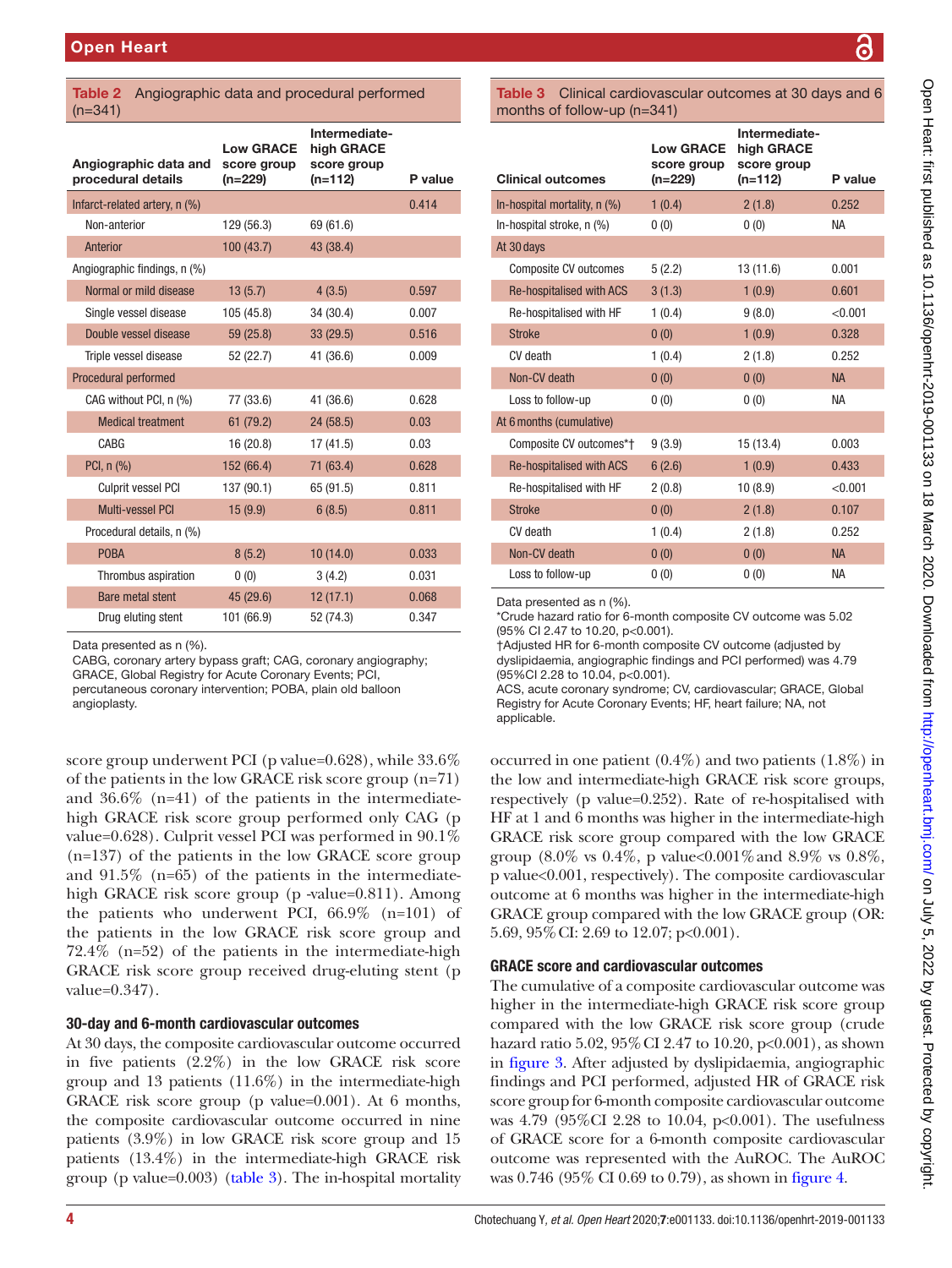#### <span id="page-3-0"></span>Table 2 Angiographic data and procedural performed (n=341)

| Angiographic data and         | <b>Low GRACE</b><br>score group | Intermediate-<br>high GRACE<br>score group |         |
|-------------------------------|---------------------------------|--------------------------------------------|---------|
| procedural details            | $(n=229)$                       | $(n=112)$                                  | P value |
| Infarct-related artery, n (%) |                                 |                                            | 0.414   |
| Non-anterior                  | 129 (56.3)                      | 69 (61.6)                                  |         |
| Anterior                      | 100(43.7)                       | 43 (38.4)                                  |         |
| Angiographic findings, n (%)  |                                 |                                            |         |
| Normal or mild disease        | 13(5.7)                         | 4(3.5)                                     | 0.597   |
| Single vessel disease         | 105 (45.8)                      | 34 (30.4)                                  | 0.007   |
| Double vessel disease         | 59 (25.8)                       | 33(29.5)                                   | 0.516   |
| Triple vessel disease         | 52 (22.7)                       | 41 (36.6)                                  | 0.009   |
| Procedural performed          |                                 |                                            |         |
| CAG without PCI, n (%)        | 77 (33.6)                       | 41 (36.6)                                  | 0.628   |
| <b>Medical treatment</b>      | 61 (79.2)                       | 24(58.5)                                   | 0.03    |
| CABG                          | 16 (20.8)                       | 17(41.5)                                   | 0.03    |
| PCI, n (%)                    | 152 (66.4)                      | 71 (63.4)                                  | 0.628   |
| Culprit vessel PCI            | 137 (90.1)                      | 65 (91.5)                                  | 0.811   |
| <b>Multi-vessel PCI</b>       | 15(9.9)                         | 6(8.5)                                     | 0.811   |
| Procedural details, n (%)     |                                 |                                            |         |
| <b>POBA</b>                   | 8(5.2)                          | 10(14.0)                                   | 0.033   |
| Thrombus aspiration           | 0(0)                            | 3(4.2)                                     | 0.031   |
| Bare metal stent              | 45 (29.6)                       | 12(17.1)                                   | 0.068   |
| Drug eluting stent            | 101 (66.9)                      | 52 (74.3)                                  | 0.347   |

Data presented as n (%).

CABG, coronary artery bypass graft; CAG, coronary angiography; GRACE, Global Registry for Acute Coronary Events; PCI, percutaneous coronary intervention; POBA, plain old balloon angioplasty.

score group underwent PCI (p value=0.628), while 33.6% of the patients in the low GRACE risk score group (n=71) and 36.6% (n=41) of the patients in the intermediatehigh GRACE risk score group performed only CAG (p value=0.628). Culprit vessel PCI was performed in 90.1% (n=137) of the patients in the low GRACE score group and 91.5% (n=65) of the patients in the intermediatehigh GRACE risk score group (p -value=0.811). Among the patients who underwent PCI, 66.9% (n=101) of the patients in the low GRACE risk score group and 72.4% (n=52) of the patients in the intermediate-high GRACE risk score group received drug-eluting stent (p value=0.347).

# 30-day and 6-month cardiovascular outcomes

At 30 days, the composite cardiovascular outcome occurred in five patients (2.2%) in the low GRACE risk score group and 13 patients (11.6%) in the intermediate-high GRACE risk score group (p value=0.001). At 6 months, the composite cardiovascular outcome occurred in nine patients (3.9%) in low GRACE risk score group and 15 patients (13.4%) in the intermediate-high GRACE risk group (p value= $0.003$ ) [\(table](#page-3-1) 3). The in-hospital mortality

<span id="page-3-1"></span>Table 3 Clinical cardiovascular outcomes at 30 days and 6 months of follow-up (n=341)

| <b>Clinical outcomes</b>        | <b>Low GRACE</b><br>score group<br>(n=229) | Intermediate-<br>high GRACE<br>score group<br>$(n=112)$ | P value   |
|---------------------------------|--------------------------------------------|---------------------------------------------------------|-----------|
| In-hospital mortality, $n$ (%)  | 1(0.4)                                     | 2(1.8)                                                  | 0.252     |
| In-hospital stroke, n (%)       | 0(0)                                       | 0(0)                                                    | <b>NA</b> |
| At 30 days                      |                                            |                                                         |           |
| Composite CV outcomes           | 5(2.2)                                     | 13 (11.6)                                               | 0.001     |
| <b>Re-hospitalised with ACS</b> | 3(1.3)                                     | 1(0.9)                                                  | 0.601     |
| Re-hospitalised with HF         | 1(0.4)                                     | 9(8.0)                                                  | < 0.001   |
| <b>Stroke</b>                   | 0(0)                                       | 1(0.9)                                                  | 0.328     |
| CV death                        | 1(0.4)                                     | 2(1.8)                                                  | 0.252     |
| Non-CV death                    | 0(0)                                       | 0(0)                                                    | <b>NA</b> |
| Loss to follow-up               | 0(0)                                       | 0(0)                                                    | <b>NA</b> |
| At 6 months (cumulative)        |                                            |                                                         |           |
| Composite CV outcomes*†         | 9(3.9)                                     | 15 (13.4)                                               | 0.003     |
| <b>Re-hospitalised with ACS</b> | 6(2.6)                                     | 1(0.9)                                                  | 0.433     |
| Re-hospitalised with HF         | 2(0.8)                                     | 10(8.9)                                                 | < 0.001   |
| <b>Stroke</b>                   | 0(0)                                       | 2(1.8)                                                  | 0.107     |
| CV death                        | 1(0.4)                                     | 2(1.8)                                                  | 0.252     |
| Non-CV death                    | 0(0)                                       | 0(0)                                                    | <b>NA</b> |
| Loss to follow-up               | 0(0)                                       | 0(0)                                                    | <b>NA</b> |

Data presented as n (%).

\*Crude hazard ratio for 6-month composite CV outcome was 5.02 (95% CI 2.47 to 10.20, p<0.001).

†Adjusted HR for 6-month composite CV outcome (adjusted by dyslipidaemia, angiographic findings and PCI performed) was 4.79 (95%CI 2.28 to 10.04, p<0.001).

ACS, acute coronary syndrome; CV, cardiovascular; GRACE, Global Registry for Acute Coronary Events; HF, heart failure; NA, not applicable.

occurred in one patient (0.4%) and two patients (1.8%) in the low and intermediate-high GRACE risk score groups, respectively (p value=0.252). Rate of re-hospitalised with HF at 1 and 6 months was higher in the intermediate-high GRACE risk score group compared with the low GRACE group  $(8.0\% \text{ vs } 0.4\%, \text{ p value} < 0.001\% \text{ and } 8.9\% \text{ vs } 0.8\%, \text{ }$ p value<0.001, respectively). The composite cardiovascular outcome at 6 months was higher in the intermediate-high GRACE group compared with the low GRACE group (OR: 5.69, 95%CI: 2.69 to 12.07; p<0.001).

# GRACE score and cardiovascular outcomes

The cumulative of a composite cardiovascular outcome was higher in the intermediate-high GRACE risk score group compared with the low GRACE risk score group (crude hazard ratio 5.02, 95% CI 2.47 to 10.20, p<0.001), as shown in [figure](#page-4-0) 3. After adjusted by dyslipidaemia, angiographic findings and PCI performed, adjusted HR of GRACE risk score group for 6-month composite cardiovascular outcome was 4.79 (95%CI 2.28 to 10.04, p<0.001). The usefulness of GRACE score for a 6-month composite cardiovascular outcome was represented with the AuROC. The AuROC was 0.746 (95% CI 0.69 to 0.79), as shown in [figure](#page-4-1) 4.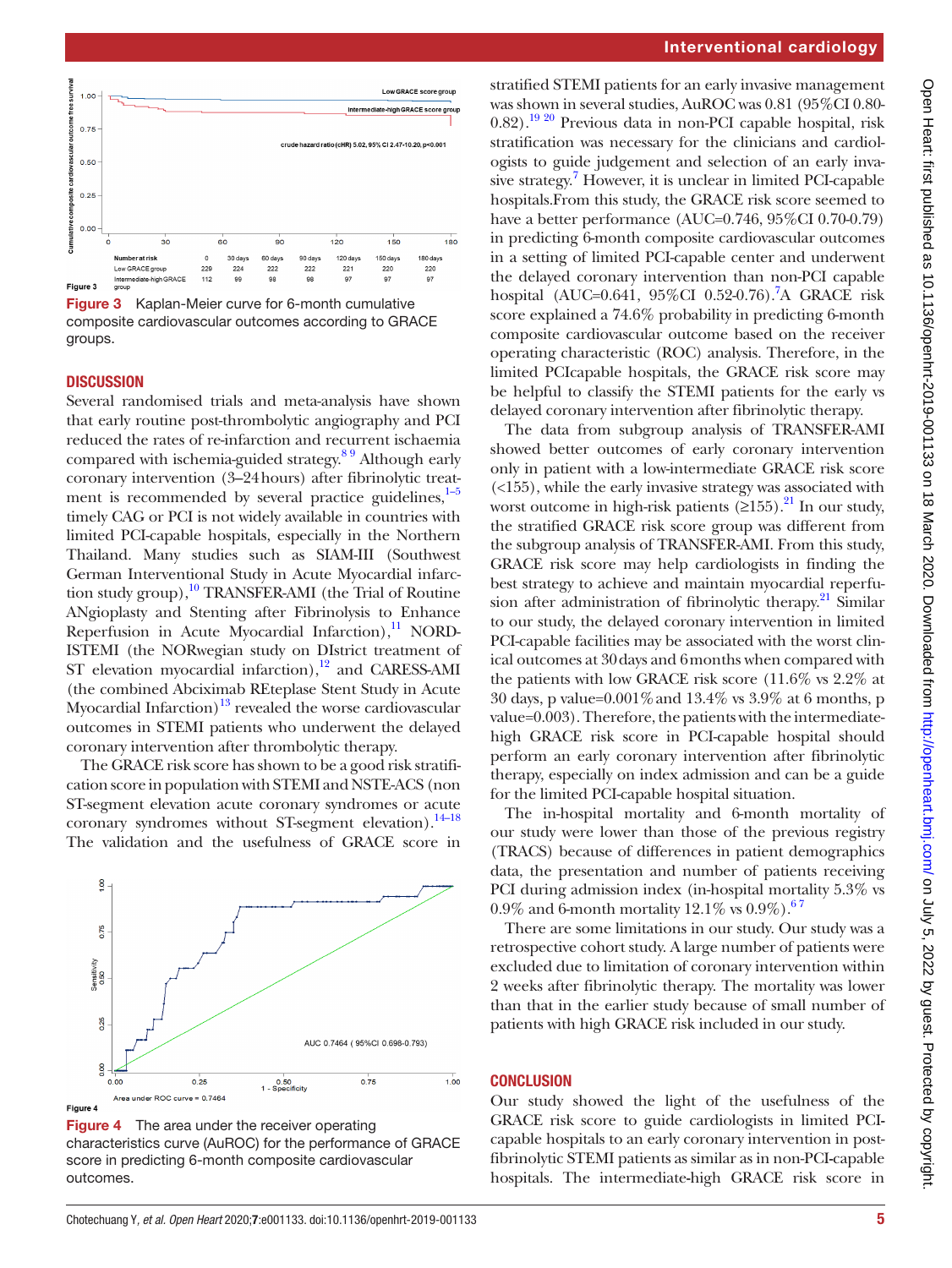

<span id="page-4-0"></span>**Figure 3** Kaplan-Meier curve for 6-month cumulative composite cardiovascular outcomes according to GRACE groups.

#### **DISCUSSION**

Several randomised trials and meta-analysis have shown that early routine post-thrombolytic angiography and PCI reduced the rates of re-infarction and recurrent ischaemia compared with ischemia-guided strategy.<sup>89</sup> Although early coronary intervention (3–24hours) after fibrinolytic treatment is recommended by several practice guidelines, $1-5$ timely CAG or PCI is not widely available in countries with limited PCI-capable hospitals, especially in the Northern Thailand. Many studies such as SIAM-III (Southwest German Interventional Study in Acute Myocardial infarction study group), $^{10}$  TRANSFER-AMI (the Trial of Routine ANgioplasty and Stenting after Fibrinolysis to Enhance Reperfusion in Acute Myocardial Infarction), $\frac{11}{11}$  $\frac{11}{11}$  $\frac{11}{11}$  NORD-ISTEMI (the NORwegian study on DIstrict treatment of ST elevation myocardial infarction), $12$  and CARESS-AMI (the combined Abciximab REteplase Stent Study in Acute Myocardial Infarction)<sup>13</sup> revealed the worse cardiovascular outcomes in STEMI patients who underwent the delayed coronary intervention after thrombolytic therapy.

The GRACE risk score has shown to be a good risk stratification score in population with STEMI and NSTE-ACS (non ST-segment elevation acute coronary syndromes or acute coronary syndromes without ST-segment elevation).<sup>[14–18](#page-5-8)</sup> The validation and the usefulness of GRACE score in



<span id="page-4-1"></span>**Figure 4** The area under the receiver operating characteristics curve (AuROC) for the performance of GRACE score in predicting 6-month composite cardiovascular outcomes.

#### Interventional cardiology

stratified STEMI patients for an early invasive management was shown in several studies, AuROC was 0.81 (95%CI 0.80- 0.82).<sup>19 20</sup> Previous data in non-PCI capable hospital, risk stratification was necessary for the clinicians and cardiologists to guide judgement and selection of an early inva-sive strategy.<sup>[7](#page-5-2)</sup> However, it is unclear in limited PCI-capable hospitals.From this study, the GRACE risk score seemed to have a better performance (AUC=0.746, 95%CI 0.70-0.79) in predicting 6-month composite cardiovascular outcomes in a setting of limited PCI-capable center and underwent the delayed coronary intervention than non-PCI capable hospital (AUC=0.641, 95%CI 0.52-0[.7](#page-5-2)6).<sup>7</sup>A GRACE risk score explained a 74.6% probability in predicting 6-month composite cardiovascular outcome based on the receiver operating characteristic (ROC) analysis. Therefore, in the limited PCIcapable hospitals, the GRACE risk score may be helpful to classify the STEMI patients for the early vs delayed coronary intervention after fibrinolytic therapy.

The data from subgroup analysis of TRANSFER-AMI showed better outcomes of early coronary intervention only in patient with a low-intermediate GRACE risk score (<155), while the early invasive strategy was associated with worst outcome in high-risk patients  $(\geq 155)$ .<sup>21</sup> In our study, the stratified GRACE risk score group was different from the subgroup analysis of TRANSFER-AMI. From this study, GRACE risk score may help cardiologists in finding the best strategy to achieve and maintain myocardial reperfusion after administration of fibrinolytic therapy. $21$  Similar to our study, the delayed coronary intervention in limited PCI-capable facilities may be associated with the worst clinical outcomes at 30days and 6months when compared with the patients with low GRACE risk score (11.6% vs 2.2% at 30 days, p value=0.001%and 13.4% vs 3.9% at 6 months, p value=0.003). Therefore, the patients with the intermediatehigh GRACE risk score in PCI-capable hospital should perform an early coronary intervention after fibrinolytic therapy, especially on index admission and can be a guide for the limited PCI-capable hospital situation.

The in-hospital mortality and 6-month mortality of our study were lower than those of the previous registry (TRACS) because of differences in patient demographics data, the presentation and number of patients receiving PCI during admission index (in-hospital mortality 5.3% vs 0.9% and 6-month mortality  $12.1\%$  vs  $0.9\%$ ).

There are some limitations in our study. Our study was a retrospective cohort study. A large number of patients were excluded due to limitation of coronary intervention within 2 weeks after fibrinolytic therapy. The mortality was lower than that in the earlier study because of small number of patients with high GRACE risk included in our study.

#### **CONCLUSION**

Our study showed the light of the usefulness of the GRACE risk score to guide cardiologists in limited PCIcapable hospitals to an early coronary intervention in postfibrinolytic STEMI patients as similar as in non-PCI**-**capable hospitals. The intermediate**-**high GRACE risk score in